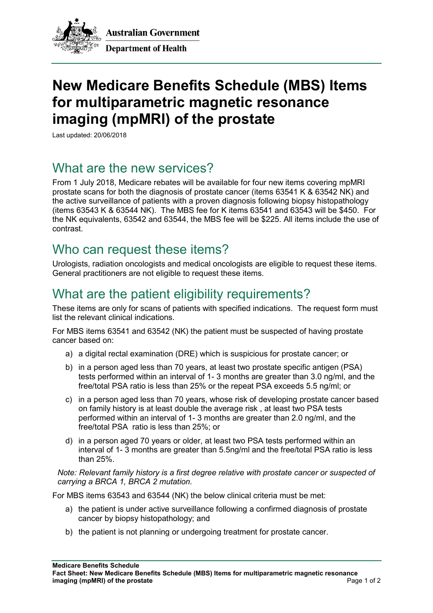

**Australian Government Department of Health** 

# **New Medicare Benefits Schedule (MBS) Items for multiparametric magnetic resonance imaging (mpMRI) of the prostate**

Last updated: 20/06/2018

#### What are the new services?

From 1 July 2018, Medicare rebates will be available for four new items covering mpMRI prostate scans for both the diagnosis of prostate cancer (items 63541 K & 63542 NK) and the active surveillance of patients with a proven diagnosis following biopsy histopathology (items 63543 K & 63544 NK). The MBS fee for K items 63541 and 63543 will be \$450. For the NK equivalents, 63542 and 63544, the MBS fee will be \$225. All items include the use of contrast.

#### Who can request these items?

Urologists, radiation oncologists and medical oncologists are eligible to request these items. General practitioners are not eligible to request these items.

## What are the patient eligibility requirements?

These items are only for scans of patients with specified indications. The request form must list the relevant clinical indications.

For MBS items 63541 and 63542 (NK) the patient must be suspected of having prostate cancer based on:

- a) a digital rectal examination (DRE) which is suspicious for prostate cancer; or
- b) in a person aged less than 70 years, at least two prostate specific antigen (PSA) tests performed within an interval of 1- 3 months are greater than 3.0 ng/ml, and the free/total PSA ratio is less than 25% or the repeat PSA exceeds 5.5 ng/ml; or
- c) in a person aged less than 70 years, whose risk of developing prostate cancer based on family history is at least double the average risk , at least two PSA tests performed within an interval of 1- 3 months are greater than 2.0 ng/ml, and the free/total PSA ratio is less than 25%; or
- d) in a person aged 70 years or older, at least two PSA tests performed within an interval of 1- 3 months are greater than 5.5ng/ml and the free/total PSA ratio is less than 25%.

*Note: Relevant family history is a first degree relative with prostate cancer or suspected of carrying a BRCA 1, BRCA 2 mutation.*

For MBS items 63543 and 63544 (NK) the below clinical criteria must be met:

- a) the patient is under active surveillance following a confirmed diagnosis of prostate cancer by biopsy histopathology; and
- b) the patient is not planning or undergoing treatment for prostate cancer.